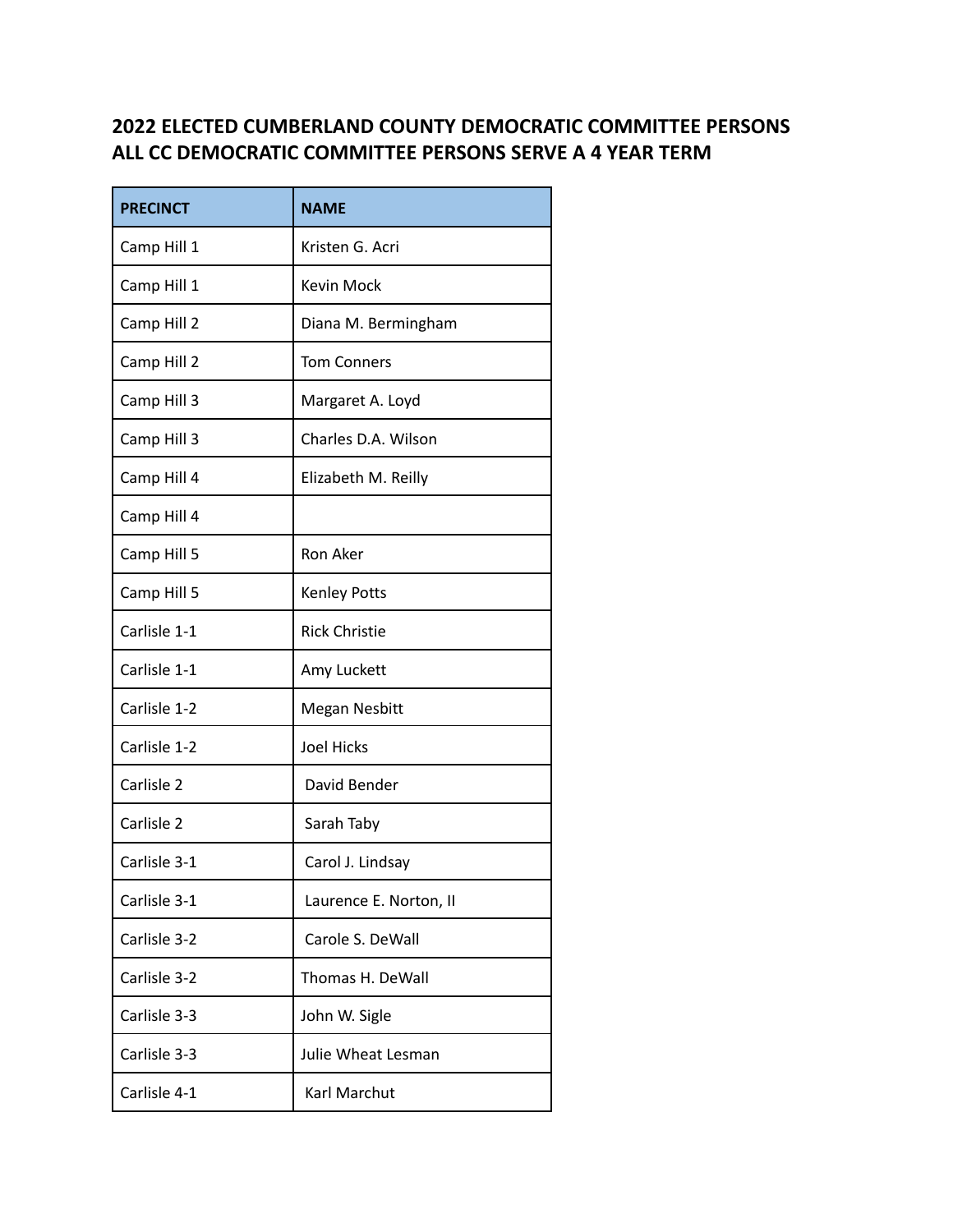## **2022 ELECTED CUMBERLAND COUNTY DEMOCRATIC COMMITTEE PERSONS ALL CC DEMOCRATIC COMMITTEE PERSONS SERVE A 4 YEAR TERM**

| <b>PRECINCT</b> | <b>NAME</b>               |
|-----------------|---------------------------|
| Camp Hill 1     | Kristen G. Acri           |
| Camp Hill 1     | Kevin Mock                |
| Camp Hill 2     | Diana M. Bermingham       |
| Camp Hill 2     | <b>Tom Conners</b>        |
| Camp Hill 3     | Margaret A. Loyd          |
| Camp Hill 3     | Charles D.A. Wilson       |
| Camp Hill 4     | Elizabeth M. Reilly       |
| Camp Hill 4     |                           |
| Camp Hill 5     | Ron Aker                  |
| Camp Hill 5     | <b>Kenley Potts</b>       |
| Carlisle 1-1    | <b>Rick Christie</b>      |
| Carlisle 1-1    | Amy Luckett               |
| Carlisle 1-2    | <b>Megan Nesbitt</b>      |
| Carlisle 1-2    | <b>Joel Hicks</b>         |
| Carlisle 2      | David Bender              |
| Carlisle 2      | Sarah Taby                |
| Carlisle 3-1    | Carol J. Lindsay          |
| Carlisle 3-1    | Laurence E. Norton, II    |
| Carlisle 3-2    | Carole S. DeWall          |
| Carlisle 3-2    | Thomas H. DeWall          |
| Carlisle 3-3    | John W. Sigle             |
| Carlisle 3-3    | <b>Julie Wheat Lesman</b> |
| Carlisle 4-1    | Karl Marchut              |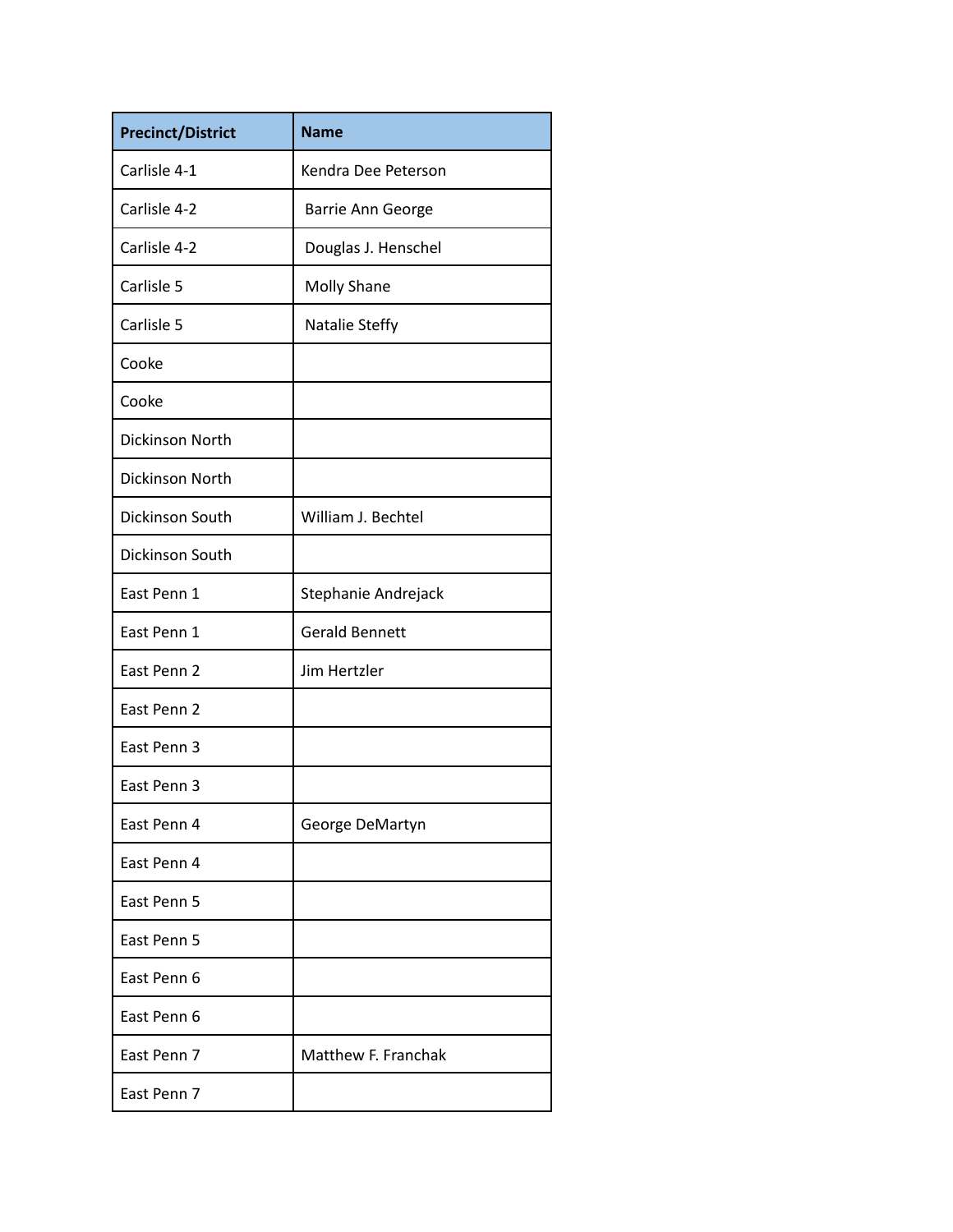| <b>Precinct/District</b> | <b>Name</b>           |
|--------------------------|-----------------------|
| Carlisle 4-1             | Kendra Dee Peterson   |
| Carlisle 4-2             | Barrie Ann George     |
| Carlisle 4-2             | Douglas J. Henschel   |
| Carlisle 5               | <b>Molly Shane</b>    |
| Carlisle 5               | Natalie Steffy        |
| Cooke                    |                       |
| Cooke                    |                       |
| Dickinson North          |                       |
| Dickinson North          |                       |
| <b>Dickinson South</b>   | William J. Bechtel    |
| Dickinson South          |                       |
| East Penn 1              | Stephanie Andrejack   |
| East Penn 1              | <b>Gerald Bennett</b> |
| East Penn 2              | Jim Hertzler          |
| East Penn 2              |                       |
| East Penn 3              |                       |
| East Penn 3              |                       |
| East Penn 4              | George DeMartyn       |
| East Penn 4              |                       |
| East Penn 5              |                       |
| East Penn 5              |                       |
| East Penn 6              |                       |
| East Penn 6              |                       |
| East Penn 7              | Matthew F. Franchak   |
| East Penn 7              |                       |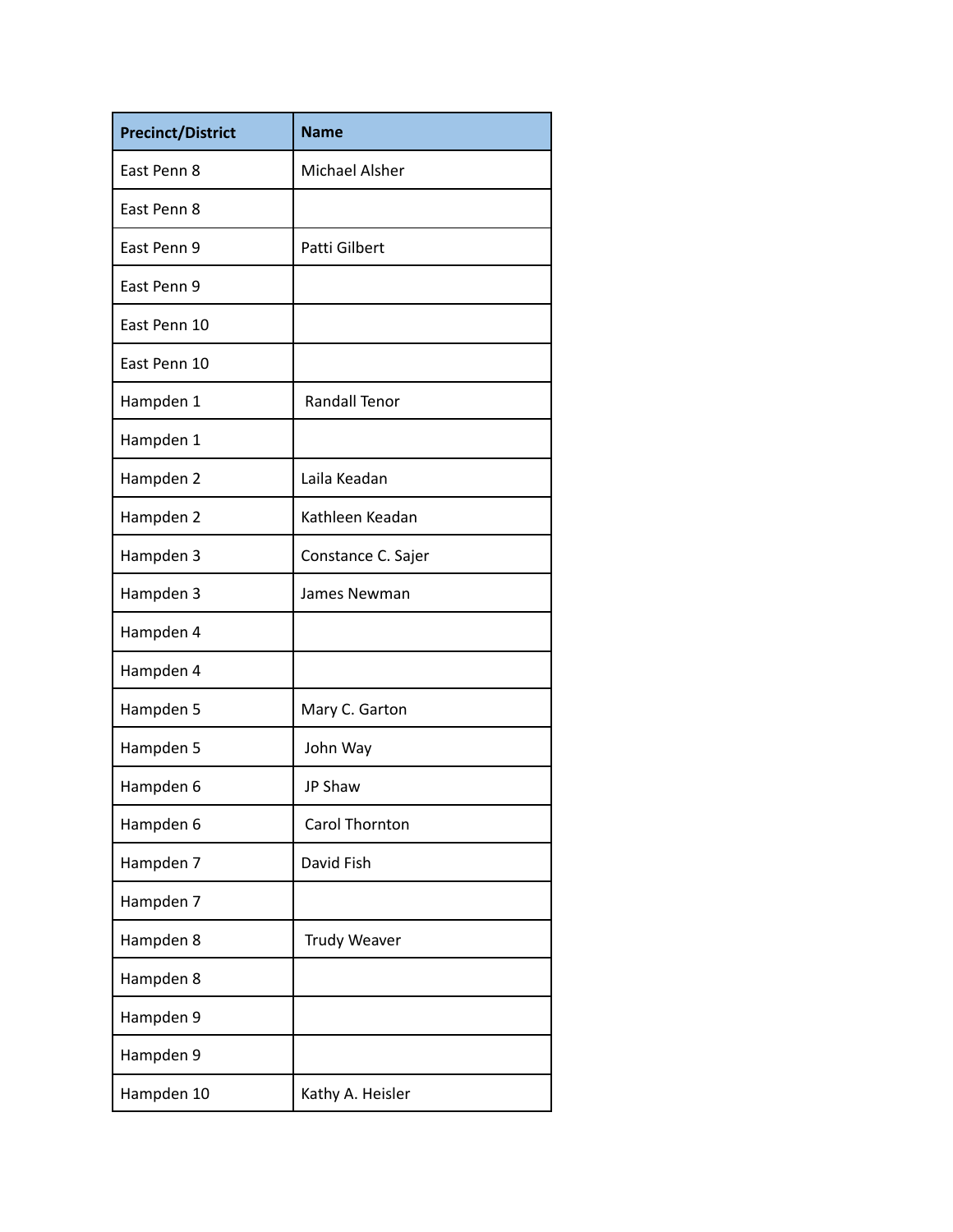| <b>Precinct/District</b> | <b>Name</b>           |
|--------------------------|-----------------------|
| Fast Penn 8              | <b>Michael Alsher</b> |
| East Penn 8              |                       |
| East Penn 9              | Patti Gilbert         |
| East Penn 9              |                       |
| Fast Penn 10             |                       |
| East Penn 10             |                       |
| Hampden 1                | <b>Randall Tenor</b>  |
| Hampden 1                |                       |
| Hampden 2                | Laila Keadan          |
| Hampden 2                | Kathleen Keadan       |
| Hampden 3                | Constance C. Sajer    |
| Hampden 3                | James Newman          |
| Hampden 4                |                       |
| Hampden 4                |                       |
| Hampden 5                | Mary C. Garton        |
| Hampden 5                | John Way              |
| Hampden 6                | <b>JP Shaw</b>        |
| Hampden 6                | Carol Thornton        |
| Hampden 7                | David Fish            |
| Hampden 7                |                       |
| Hampden 8                | <b>Trudy Weaver</b>   |
| Hampden 8                |                       |
| Hampden 9                |                       |
| Hampden 9                |                       |
| Hampden 10               | Kathy A. Heisler      |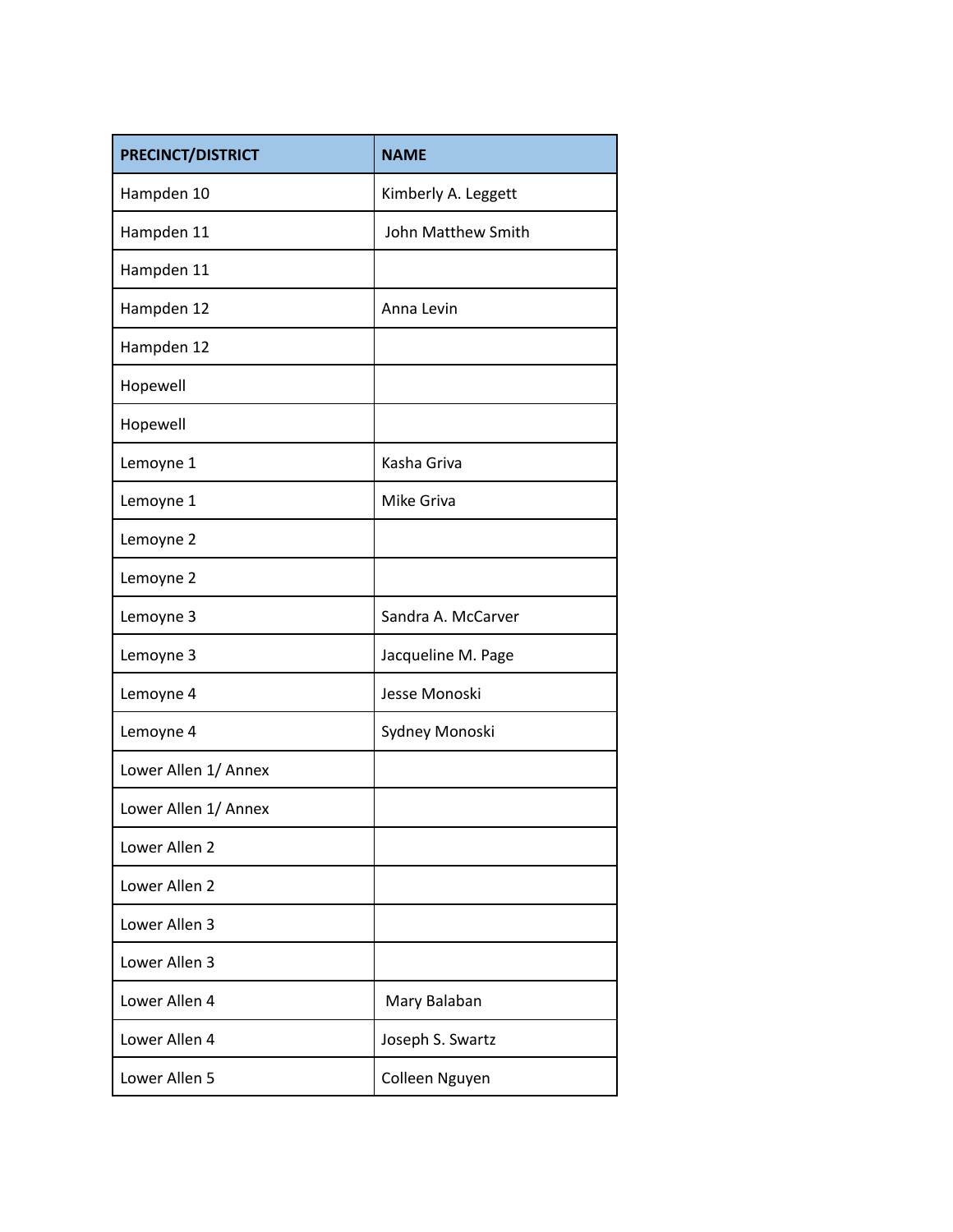| PRECINCT/DISTRICT    | <b>NAME</b>         |
|----------------------|---------------------|
| Hampden 10           | Kimberly A. Leggett |
| Hampden 11           | John Matthew Smith  |
| Hampden 11           |                     |
| Hampden 12           | Anna Levin          |
| Hampden 12           |                     |
| Hopewell             |                     |
| Hopewell             |                     |
| Lemoyne 1            | Kasha Griva         |
| Lemoyne 1            | <b>Mike Griva</b>   |
| Lemoyne 2            |                     |
| Lemoyne 2            |                     |
| Lemoyne 3            | Sandra A. McCarver  |
| Lemoyne 3            | Jacqueline M. Page  |
| Lemoyne 4            | Jesse Monoski       |
| Lemoyne 4            | Sydney Monoski      |
| Lower Allen 1/ Annex |                     |
| Lower Allen 1/ Annex |                     |
| Lower Allen 2        |                     |
| Lower Allen 2        |                     |
| Lower Allen 3        |                     |
| Lower Allen 3        |                     |
| Lower Allen 4        | Mary Balaban        |
| Lower Allen 4        | Joseph S. Swartz    |
| Lower Allen 5        | Colleen Nguyen      |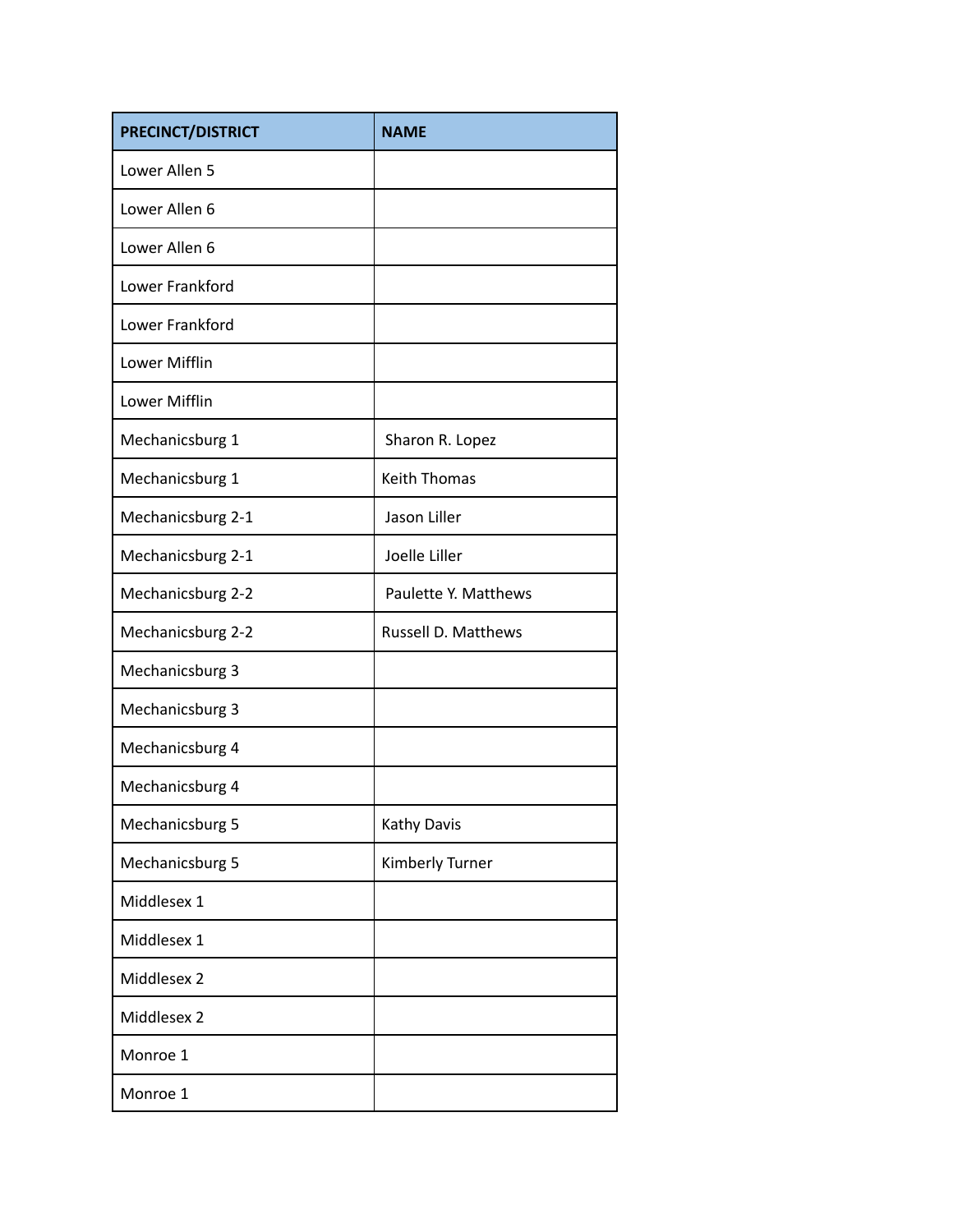| <b>PRECINCT/DISTRICT</b> | <b>NAME</b>                |
|--------------------------|----------------------------|
| Lower Allen 5            |                            |
| Lower Allen 6            |                            |
| Lower Allen 6            |                            |
| Lower Frankford          |                            |
| Lower Frankford          |                            |
| Lower Mifflin            |                            |
| Lower Mifflin            |                            |
| Mechanicsburg 1          | Sharon R. Lopez            |
| Mechanicsburg 1          | <b>Keith Thomas</b>        |
| Mechanicsburg 2-1        | Jason Liller               |
| Mechanicsburg 2-1        | Joelle Liller              |
| Mechanicsburg 2-2        | Paulette Y. Matthews       |
| Mechanicsburg 2-2        | <b>Russell D. Matthews</b> |
| Mechanicsburg 3          |                            |
| Mechanicsburg 3          |                            |
| Mechanicsburg 4          |                            |
| Mechanicsburg 4          |                            |
| Mechanicsburg 5          | Kathy Davis                |
| Mechanicsburg 5          | Kimberly Turner            |
| Middlesex 1              |                            |
| Middlesex 1              |                            |
| Middlesex 2              |                            |
| Middlesex 2              |                            |
| Monroe 1                 |                            |
| Monroe 1                 |                            |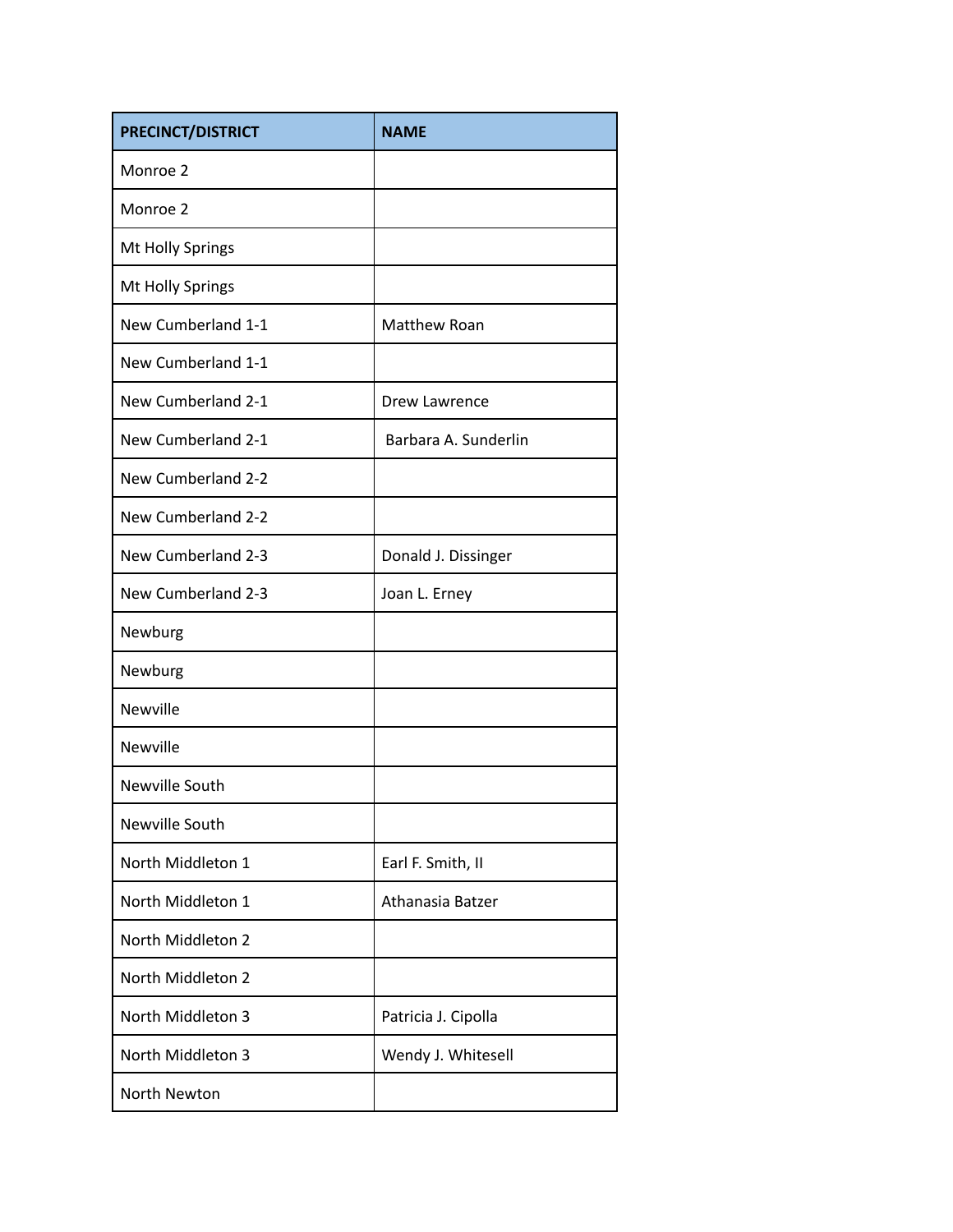| <b>PRECINCT/DISTRICT</b> | <b>NAME</b>          |
|--------------------------|----------------------|
| Monroe 2                 |                      |
| Monroe 2                 |                      |
| Mt Holly Springs         |                      |
| Mt Holly Springs         |                      |
| New Cumberland 1-1       | Matthew Roan         |
| New Cumberland 1-1       |                      |
| New Cumberland 2-1       | <b>Drew Lawrence</b> |
| New Cumberland 2-1       | Barbara A. Sunderlin |
| New Cumberland 2-2       |                      |
| New Cumberland 2-2       |                      |
| New Cumberland 2-3       | Donald J. Dissinger  |
| New Cumberland 2-3       | Joan L. Erney        |
| Newburg                  |                      |
| Newburg                  |                      |
| Newville                 |                      |
| Newville                 |                      |
| Newville South           |                      |
| Newville South           |                      |
| North Middleton 1        | Earl F. Smith, II    |
| North Middleton 1        | Athanasia Batzer     |
| North Middleton 2        |                      |
| North Middleton 2        |                      |
| North Middleton 3        | Patricia J. Cipolla  |
| North Middleton 3        | Wendy J. Whitesell   |
| North Newton             |                      |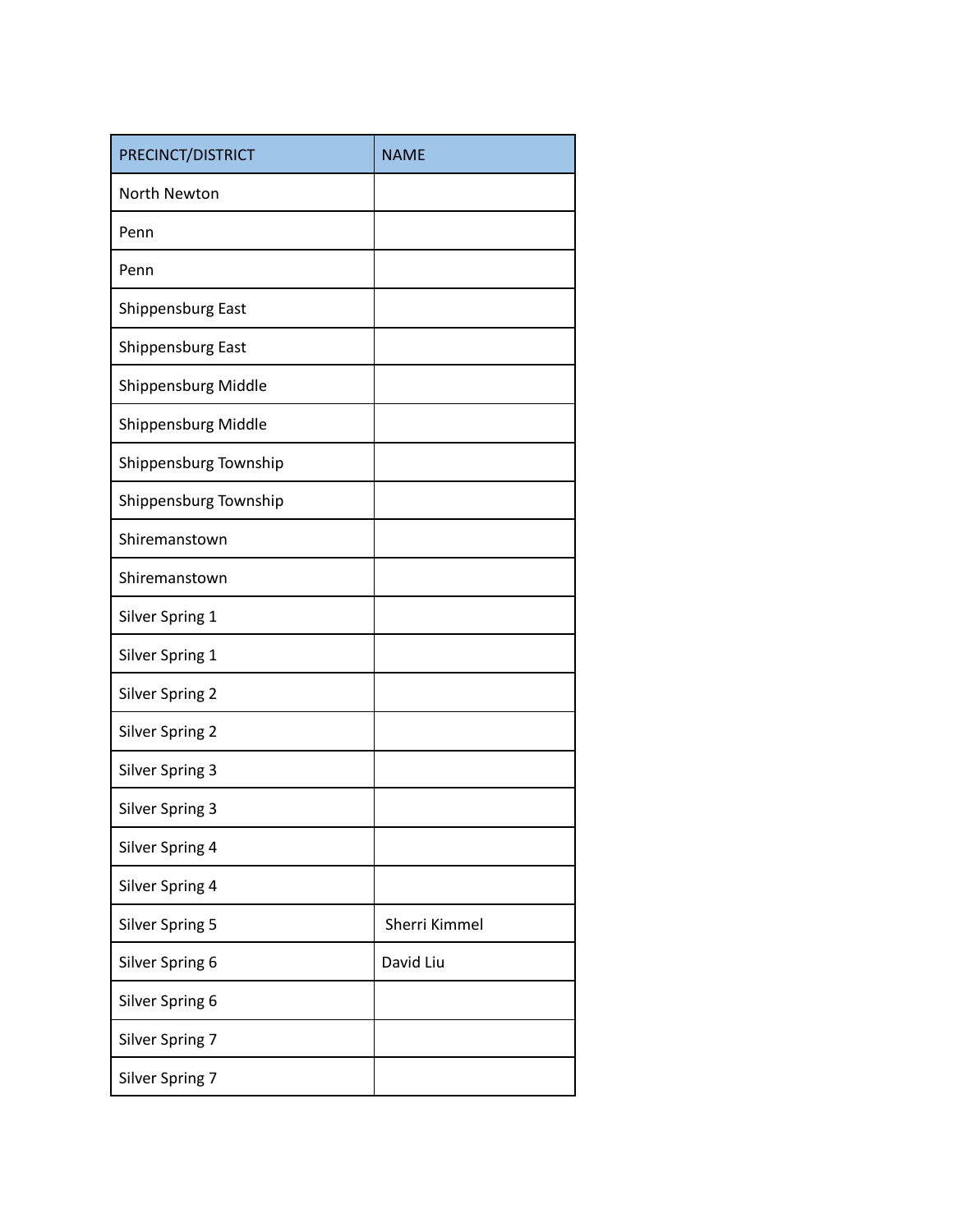| PRECINCT/DISTRICT      | <b>NAME</b>   |
|------------------------|---------------|
| North Newton           |               |
| Penn                   |               |
| Penn                   |               |
| Shippensburg East      |               |
| Shippensburg East      |               |
| Shippensburg Middle    |               |
| Shippensburg Middle    |               |
| Shippensburg Township  |               |
| Shippensburg Township  |               |
| Shiremanstown          |               |
| Shiremanstown          |               |
| Silver Spring 1        |               |
| Silver Spring 1        |               |
| <b>Silver Spring 2</b> |               |
| <b>Silver Spring 2</b> |               |
| <b>Silver Spring 3</b> |               |
| <b>Silver Spring 3</b> |               |
| Silver Spring 4        |               |
| Silver Spring 4        |               |
| <b>Silver Spring 5</b> | Sherri Kimmel |
| Silver Spring 6        | David Liu     |
| Silver Spring 6        |               |
| Silver Spring 7        |               |
| Silver Spring 7        |               |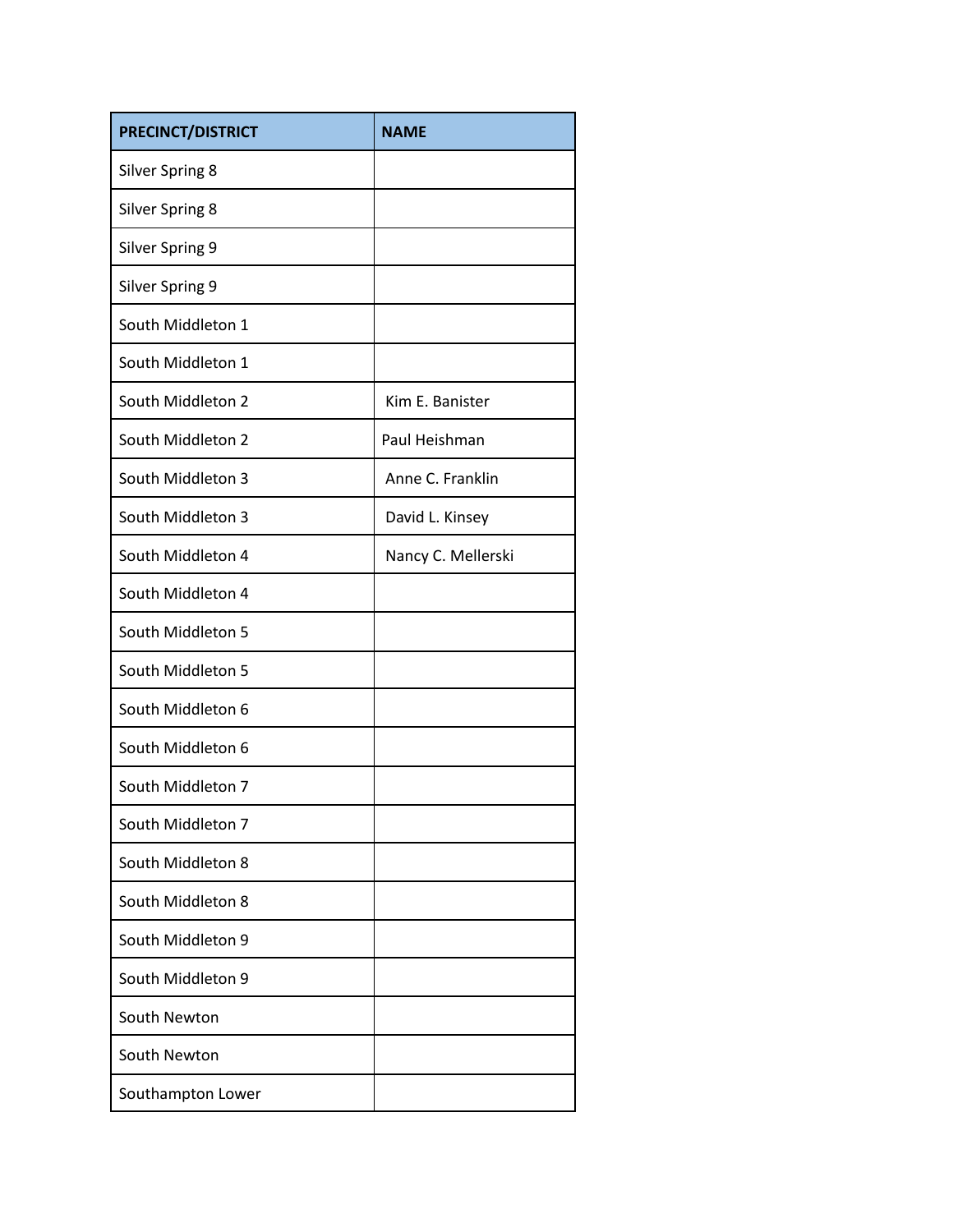| PRECINCT/DISTRICT      | <b>NAME</b>        |
|------------------------|--------------------|
| <b>Silver Spring 8</b> |                    |
| <b>Silver Spring 8</b> |                    |
| <b>Silver Spring 9</b> |                    |
| <b>Silver Spring 9</b> |                    |
| South Middleton 1      |                    |
| South Middleton 1      |                    |
| South Middleton 2      | Kim E. Banister    |
| South Middleton 2      | Paul Heishman      |
| South Middleton 3      | Anne C. Franklin   |
| South Middleton 3      | David L. Kinsey    |
| South Middleton 4      | Nancy C. Mellerski |
| South Middleton 4      |                    |
| South Middleton 5      |                    |
| South Middleton 5      |                    |
| South Middleton 6      |                    |
| South Middleton 6      |                    |
| South Middleton 7      |                    |
| South Middleton 7      |                    |
| South Middleton 8      |                    |
| South Middleton 8      |                    |
| South Middleton 9      |                    |
| South Middleton 9      |                    |
| South Newton           |                    |
| South Newton           |                    |
| Southampton Lower      |                    |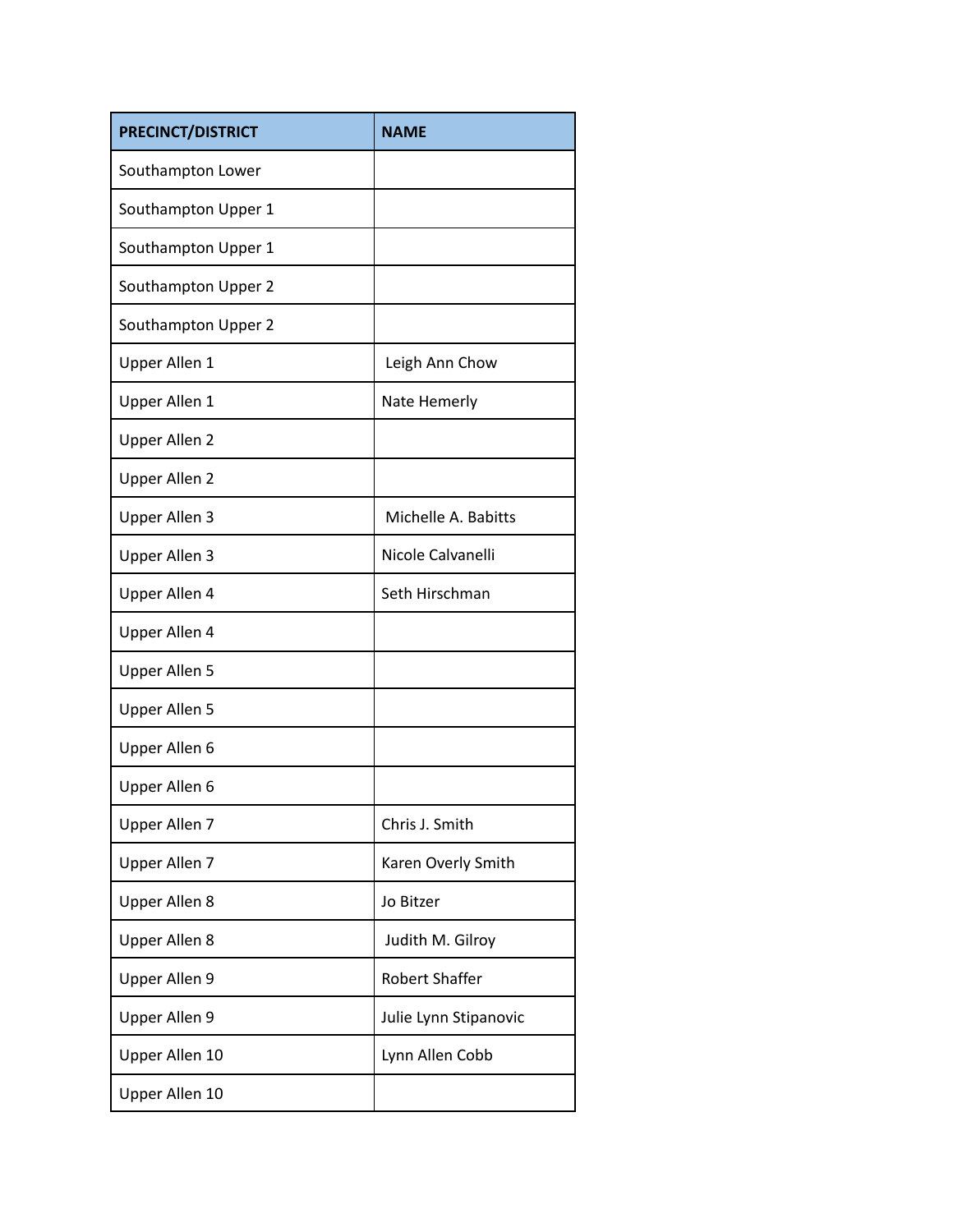| <b>PRECINCT/DISTRICT</b> | <b>NAME</b>           |
|--------------------------|-----------------------|
| Southampton Lower        |                       |
| Southampton Upper 1      |                       |
| Southampton Upper 1      |                       |
| Southampton Upper 2      |                       |
| Southampton Upper 2      |                       |
| Upper Allen 1            | Leigh Ann Chow        |
| <b>Upper Allen 1</b>     | Nate Hemerly          |
| <b>Upper Allen 2</b>     |                       |
| <b>Upper Allen 2</b>     |                       |
| Upper Allen 3            | Michelle A. Babitts   |
| Upper Allen 3            | Nicole Calvanelli     |
| Upper Allen 4            | Seth Hirschman        |
| Upper Allen 4            |                       |
| <b>Upper Allen 5</b>     |                       |
| <b>Upper Allen 5</b>     |                       |
| Upper Allen 6            |                       |
| Upper Allen 6            |                       |
| Upper Allen 7            | Chris J. Smith        |
| Upper Allen 7            | Karen Overly Smith    |
| Upper Allen 8            | Jo Bitzer             |
| Upper Allen 8            | Judith M. Gilroy      |
| Upper Allen 9            | <b>Robert Shaffer</b> |
| Upper Allen 9            | Julie Lynn Stipanovic |
| Upper Allen 10           | Lynn Allen Cobb       |
| Upper Allen 10           |                       |